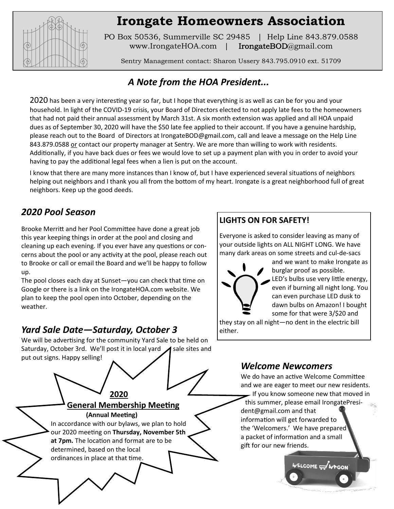

# **Irongate Homeowners Association**

PO Box 50536, Summerville SC 29485 | Help Line 843.879.0588 www.IrongateHOA.com | **IrongateBOD**@gmail.com

Sentry Management contact: Sharon Ussery 843.795.0910 ext. 51709

# *A Note from the HOA President...*

2020 has been a very interesting year so far, but I hope that everything is as well as can be for you and your household. In light of the COVID-19 crisis, your Board of Directors elected to not apply late fees to the homeowners that had not paid their annual assessment by March 31st. A six month extension was applied and all HOA unpaid dues as of September 30, 2020 will have the \$50 late fee applied to their account. If you have a genuine hardship, please reach out to the Board of Directors at IrongateBOD@gmail.com, call and leave a message on the Help Line 843.879.0588 or contact our property manager at Sentry. We are more than willing to work with residents. Additionally, if you have back dues or fees we would love to set up a payment plan with you in order to avoid your having to pay the additional legal fees when a lien is put on the account.

I know that there are many more instances than I know of, but I have experienced several situations of neighbors helping out neighbors and I thank you all from the bottom of my heart. Irongate is a great neighborhood full of great neighbors. Keep up the good deeds.

# *2020 Pool Season*

Brooke Merritt and her Pool Committee have done a great job this year keeping things in order at the pool and closing and cleaning up each evening. If you ever have any questions or concerns about the pool or any activity at the pool, please reach out to Brooke or call or email the Board and we'll be happy to follow up.

The pool closes each day at Sunset—you can check that time on Google or there is a link on the IrongateHOA.com website. We plan to keep the pool open into October, depending on the weather.

## *Yard Sale Date—Saturday, October 3*

We will be advertising for the community Yard Sale to be held on Saturday, October 3rd. We'll post it in local yard  $\blacktriangle$  sale sites and put out signs. Happy selling!



#### **LIGHTS ON FOR SAFETY!**

Everyone is asked to consider leaving as many of your outside lights on ALL NIGHT LONG. We have many dark areas on some streets and cul-de-sacs



and we want to make Irongate as burglar proof as possible. LED's bulbs use very little energy, even if burning all night long. You can even purchase LED dusk to dawn bulbs on Amazon! I bought some for that were 3/\$20 and

they stay on all night—no dent in the electric bill either.

#### *Welcome Newcomers*

We do have an active Welcome Committee and we are eager to meet our new residents. If you know someone new that moved in this summer, please email IrongatePresident@gmail.com and that information will get forwarded to the 'Welcomers.' We have prepared a packet of information and a small gift for our new friends.